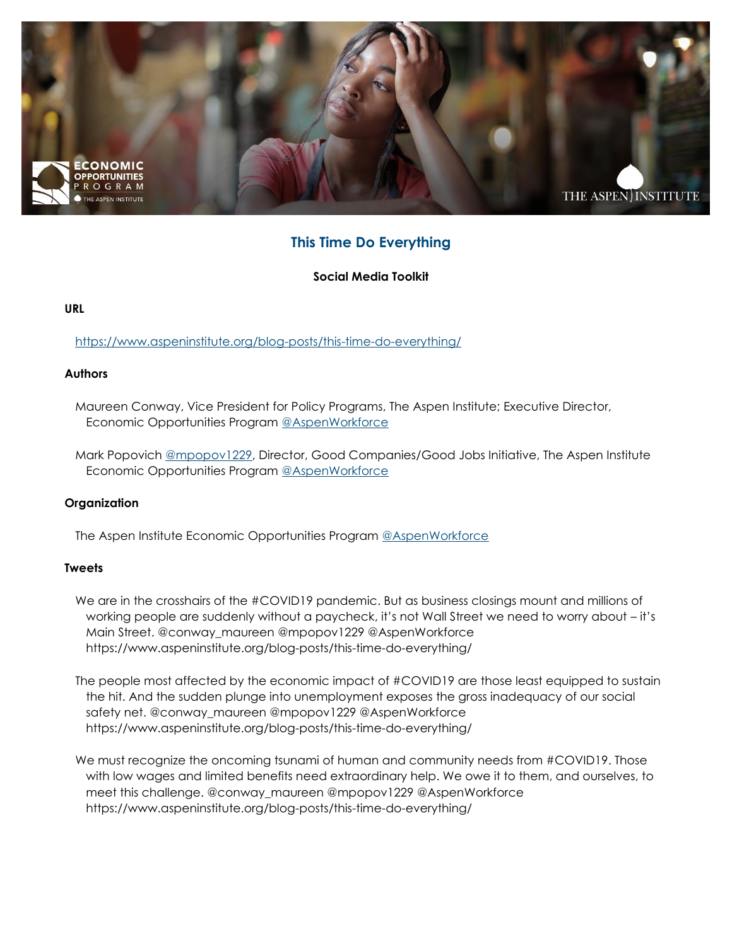

# **This Time Do Everything**

**Social Media Toolkit**

## **URL**

<https://www.aspeninstitute.org/blog-posts/this-time-do-everything/>

## **Authors**

Maureen Conway, Vice President for Policy Programs, The Aspen Institute; Executive Director, Economic Opportunities Program [@AspenWorkforce](https://twitter.com/AspenWorkforce)

Mark Popovich [@mpopov1229,](https://twitter.com/mpopov1229) Director, Good Companies/Good Jobs Initiative, The Aspen Institute Economic Opportunities Program [@AspenWorkforce](https://twitter.com/AspenWorkforce)

#### **Organization**

The Aspen Institute Economic Opportunities Program [@AspenWorkforce](https://twitter.com/AspenWorkforce)

#### **Tweets**

- We are in the crosshairs of the #COVID19 pandemic. But as business closings mount and millions of working people are suddenly without a paycheck, it's not Wall Street we need to worry about – it's Main Street. @conway\_maureen @mpopov1229 @AspenWorkforce https://www.aspeninstitute.org/blog-posts/this-time-do-everything/
- The people most affected by the economic impact of #COVID19 are those least equipped to sustain the hit. And the sudden plunge into unemployment exposes the gross inadequacy of our social safety net. @conway\_maureen @mpopov1229 @AspenWorkforce https://www.aspeninstitute.org/blog-posts/this-time-do-everything/
- We must recognize the oncoming tsunami of human and community needs from #COVID19. Those with low wages and limited benefits need extraordinary help. We owe it to them, and ourselves, to meet this challenge. @conway\_maureen @mpopov1229 @AspenWorkforce https://www.aspeninstitute.org/blog-posts/this-time-do-everything/